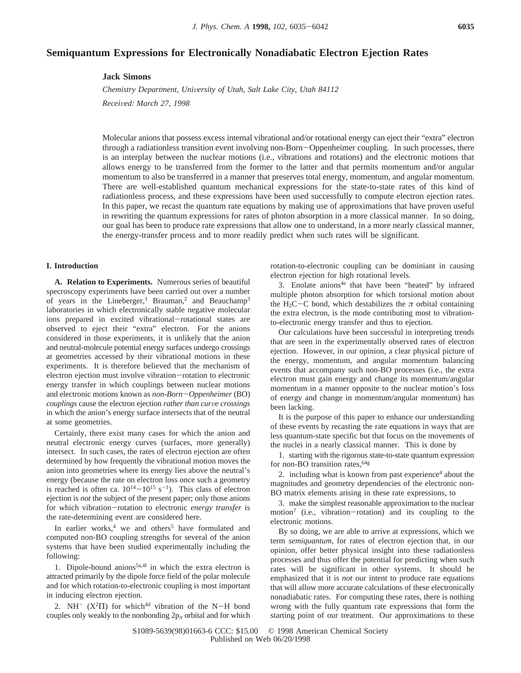# **Semiquantum Expressions for Electronically Nonadiabatic Electron Ejection Rates**

## **Jack Simons**

*Chemistry Department, Uni*V*ersity of Utah, Salt Lake City, Utah 84112 Recei*V*ed: March 27, 1998*

Molecular anions that possess excess internal vibrational and/or rotational energy can eject their "extra" electron through a radiationless transition event involving non-Born-Oppenheimer coupling. In such processes, there is an interplay between the nuclear motions (i.e., vibrations and rotations) and the electronic motions that allows energy to be transferred from the former to the latter and that permits momentum and/or angular momentum to also be transferred in a manner that preserves total energy, momentum, and angular momentum. There are well-established quantum mechanical expressions for the state-to-state rates of this kind of radiationless process, and these expressions have been used successfully to compute electron ejection rates. In this paper, we recast the quantum rate equations by making use of approximations that have proven useful in rewriting the quantum expressions for rates of photon absorption in a more classical manner. In so doing, our goal has been to produce rate expressions that allow one to understand, in a more nearly classical manner, the energy-transfer process and to more readily predict when such rates will be significant.

## **I. Introduction**

**A. Relation to Experiments.** Numerous series of beautiful specroscopy experiments have been carried out over a number of years in the Lineberger,<sup>1</sup> Brauman,<sup>2</sup> and Beauchamp<sup>3</sup> laboratories in which electronically stable negative molecular ions prepared in excited vibrational-rotational states are observed to eject their "extra" electron. For the anions considered in those experiments, it is unlikely that the anion and neutral-molecule potential energy surfaces undergo crossings at geometries accessed by their vibrational motions in these experiments. It is therefore believed that the mechanism of electron ejection must involve vibration-rotation to electronic energy transfer in which couplings between nuclear motions and electronic motions known as *non-Born*-*Oppenheimer* (BO) *couplings* cause the electron ejection *rather than curve crossings* in which the anion's energy surface intersects that of the neutral at some geometries.

Certainly, there exist many cases for which the anion and neutral electronic energy curves (surfaces, more generally) intersect. In such cases, the rates of electron ejection are often determined by how frequently the vibrational motion moves the anion into geometries where its energy lies above the neutral's energy (because the rate on electron loss once such a geometry is reached is often ca.  $10^{14}-10^{15}$  s<sup>-1</sup>). This class of electron ejection is *not* the subject of the present paper; only those anions for which vibration-rotation to electronic *energy transfer* is the rate-determining event are considered here.

In earlier works, $4$  we and others<sup>5</sup> have formulated and computed non-BO coupling strengths for several of the anion systems that have been studied experimentally including the following:

1. Dipole-bound anions<sup>5a,4f</sup> in which the extra electron is attracted primarily by the dipole force field of the polar molecule and for which rotation-to-electronic coupling is most important in inducing electron ejection.

2. NH<sup>-</sup> ( $X^2\Pi$ ) for which<sup>4d</sup> vibration of the N-H bond couples only weakly to the nonbonding  $2p_\pi$  orbital and for which rotation-to-electronic coupling can be dominiant in causing electron ejection for high rotational levels.

3. Enolate anions<sup>4e</sup> that have been "heated" by infrared multiple photon absorption for which torsional motion about the H<sub>2</sub>C-C bond, which destabilizes the  $\pi$  orbital containing the extra electron, is the mode contributing most to vibrationto-electronic energy transfer and thus to ejection.

Our calculations have been successful in interpreting trends that are seen in the experimentally observed rates of electron ejection. However, in our opinion, a clear physical picture of the energy, momentum, and angular momentum balancing events that accompany such non-BO processes (i.e., the extra electron must gain energy and change its momentum/angular momentum in a manner opposite to the nuclear motion's loss of energy and change in momentum/angular momentum) has been lacking.

It is the purpose of this paper to enhance our understanding of these events by recasting the rate equations in ways that are less quantum-state specific but that focus on the movements of the nuclei in a nearly classical manner. This is done by

1. starting with the rigorous state-to-state quantum expression for non-BO transition rates,  $64g$ 

2. including what is known from past experience<sup>4</sup> about the magnitudes and geometry dependencies of the electronic non-BO matrix elements arising in these rate expressions, to

3. make the simplest reasonable approximation to the nuclear motion<sup>7</sup> (i.e., vibration-rotation) and its coupling to the electronic motions.

By so doing, we are able to arrive at expressions, which we term *semiquantum*, for rates of electron ejection that, in our opinion, offer better physical insight into these radiationless processes and thus offer the potential for predicting when such rates will be significant in other systems. It should be emphasized that it is *not* our intent to produce rate equations that will allow more accurate calculations of these electronically nonadiabatic rates. For computing these rates, there is nothing wrong with the fully quantum rate expressions that form the starting point of our treatment. Our approximations to these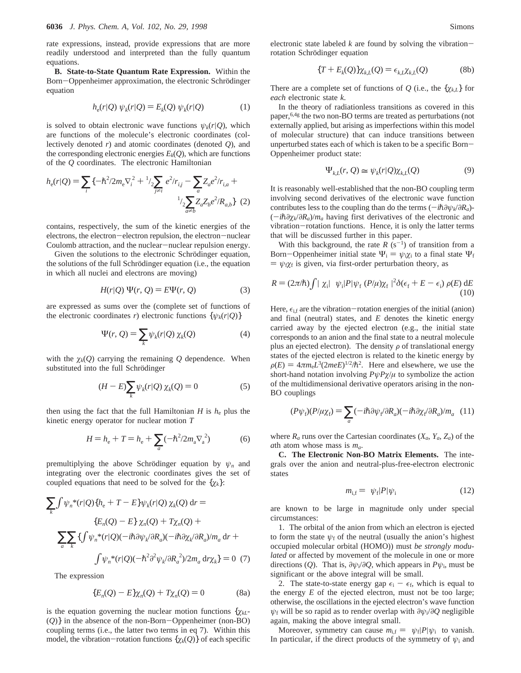rate expressions, instead, provide expressions that are more readily understood and interpreted than the fully quantum equations.

**B. State-to-State Quantum Rate Expression.** Within the Born-Oppenheimer approximation, the electronic Schrödinger equation

$$
h_e(r|Q) \psi_k(r|Q) = E_k(Q) \psi_k(r|Q)
$$
 (1)

is solved to obtain electronic wave functions  $\psi_k(r|Q)$ , which are functions of the molecule's electronic coordinates (collectively denoted *r*) and atomic coordinates (denoted *Q*), and the corresponding electronic energies  $E_k(Q)$ , which are functions of the *Q* coordinates. The electronic Hamiltonian

$$
h_{e}(r|Q) = \sum_{i} \{-\hbar^{2}/2m_{e}\nabla_{i}^{2} + \frac{1}{2}\sum_{j\neq i} e^{2}/r_{i,j} - \sum_{a} Z_{a}e^{2}/r_{i,a} + \frac{1}{2}\sum_{a\neq b} Z_{a}Z_{b}e^{2}/R_{a,b}\} (2)
$$

contains, respectively, the sum of the kinetic energies of the electrons, the electron-electron repulsion, the electron-nuclear Coulomb attraction, and the nuclear-nuclear repulsion energy.

Given the solutions to the electronic Schrödinger equation, the solutions of the full Schrödinger equation (i.e., the equation in which all nuclei and electrons are moving)

$$
H(r|Q) \Psi(r, Q) = E\Psi(r, Q)
$$
 (3)

are expressed as sums over the (complete set of functions of the electronic coordinates *r*) electronic functions  $\{\psi_k(r|Q)\}\$ 

$$
\Psi(r, Q) = \sum_{k} \psi_{k}(r|Q) \chi_{k}(Q) \tag{4}
$$

with the  $\chi_k(Q)$  carrying the remaining  $Q$  dependence. When substituted into the full Schrödinger

$$
(H - E) \sum_{k} \psi_k(r|Q) \chi_k(Q) = 0 \tag{5}
$$

then using the fact that the full Hamiltonian  $H$  is  $h<sub>e</sub>$  plus the kinetic energy operator for nuclear motion *T*

$$
H = h_{\rm e} + T = h_{\rm e} + \sum_{a} (-\hbar^2 / 2m_{\rm a} \nabla_{\rm a}^2)
$$
 (6)

premultiplying the above Schrödinger equation by  $\psi_n$  and integrating over the electronic coordinates gives the set of coupled equations that need to be solved for the  $\{\chi_k\}$ :

$$
\sum_{k} \int \psi_{n}^{*}(r|Q)\{h_{e} + T - E\} \psi_{k}(r|Q) \chi_{k}(Q) dr =
$$
  

$$
\{E_{n}(Q) - E\} \chi_{n}(Q) + T\chi_{n}(Q) +
$$
  

$$
\sum_{a} \sum_{k} \{ \int \psi_{n}^{*}(r|Q)(-i\hbar \partial \psi_{k}/\partial R_{a})(-i\hbar \partial \chi_{k}/\partial R_{a})/m_{a} dr +
$$
  

$$
\int \psi_{n}^{*}(r|Q)(-\hbar^{2} \partial^{2} \psi_{k}/\partial R_{a}^{2})/2m_{a} dr \chi_{k} = 0
$$
 (7)

The expression

$$
\{E_n(Q) - E\}\chi_n(Q) + T\chi_n(Q) = 0
$$
 (8a)

is the equation governing the nuclear motion functions  $\{\chi_{kL}$ -(*Q*)} in the absence of the non-Born-Oppenheimer (non-BO) coupling terms (i.e., the latter two terms in eq 7). Within this model, the vibration-rotation functions  $\{\chi_k(Q)\}\$  of each specific electronic state labeled *<sup>k</sup>* are found by solving the vibrationrotation Schrödinger equation

$$
\{T + E_k(Q)\}\chi_{k,L}(Q) = \epsilon_{k,L}\chi_{k,L}(Q) \tag{8b}
$$

There are a complete set of functions of  $Q$  (i.e., the  $\{\chi_{k,L}\}$  for *each* electronic state *k*.

In the theory of radiationless transitions as covered in this paper,6,4g the two non-BO terms are treated as perturbations (not externally applied, but arising as imperfections within this model of molecular structure) that can induce transitions between unperturbed states each of which is taken to be a specific Born-Oppenheimer product state:

$$
\Psi_{k,L}(r,Q) \simeq \psi_k(r|Q)\chi_{k,L}(Q) \tag{9}
$$

It is reasonably well-established that the non-BO coupling term involving second derivatives of the electronic wave function contributes less to the coupling than do the terms ( $-i\hbar \partial \psi_k / \partial R_a$ )-(-*i*p*∂øk*/*∂Ra*)/*ma* having first derivatives of the electronic and vibration-rotation functions. Hence, it is only the latter terms that will be discussed further in this paper.

With this background, the rate  $R(s^{-1})$  of transition from a Born-Oppenheimer initial state  $\Psi_i = \psi_i \chi_i$  to a final state  $\Psi_f$  $= \psi_f \chi_f$  is given, via first-order perturbation theory, as

$$
R = (2\pi/\hbar) \int |\langle \chi_{i} | \langle \psi_{i} | P | \psi_{f} \rangle \langle P / \mu \rangle \chi_{f} \rangle|^{2} \delta(\epsilon_{f} + E - \epsilon_{i}) \rho(E) dE
$$
\n(10)

Here,  $\epsilon_{\text{if}}$  are the vibration-rotation energies of the initial (anion) and final (neutral) states, and *E* denotes the kinetic energy carried away by the ejected electron (e.g., the initial state corresponds to an anion and the final state to a neutral molecule plus an ejected electron). The density  $\rho$  of translational energy states of the ejected electron is related to the kinetic energy by  $\rho(E) = 4\pi m_e L^3 (2meE)^{1/2}/\hbar^2$ . Here and elsewhere, we use the short-hand notation involving  $P\psi P\chi/\mu$  to symbolize the action of the multidimensional derivative operators arising in the non-BO couplings

$$
(P\psi_f)(P/\mu\chi_f) = \sum_a (-i\hbar \partial \psi_f / \partial R_a)(-i\hbar \partial \chi_f / \partial R_a) / m_a \quad (11)
$$

where  $R_a$  runs over the Cartesian coordinates  $(X_a, Y_a, Z_a)$  of the *a*th atom whose mass is *ma*.

**C. The Electronic Non-BO Matrix Elements.** The integrals over the anion and neutral-plus-free-electron electronic states

$$
m_{i,f} = \langle \psi_f | P | \psi_i \rangle \tag{12}
$$

are known to be large in magnitude only under special circumstances:

1. The orbital of the anion from which an electron is ejected to form the state  $\psi_f$  of the neutral (usually the anion's highest occupied molecular orbital (HOMO)) must *be strongly modulated* or affected by movement of the molecule in one or more directions (*Q*). That is,  $\partial \psi_i / \partial Q$ , which appears in  $P \psi_i$ , must be significant or the above integral will be small.

2. The state-to-state energy gap  $\epsilon_i - \epsilon_f$ , which is equal to the energy *E* of the ejected electron, must not be too large; otherwise, the oscillations in the ejected electron's wave function *ψ*<sup>f</sup> will be so rapid as to render overlap with *∂ψ*i/*∂Q* negligible again, making the above integral small.

Moreover, symmetry can cause  $m_{i,f} = \langle \psi_f | P | \psi_i \rangle$  to vanish. In particular, if the direct products of the symmetry of  $\psi_i$  and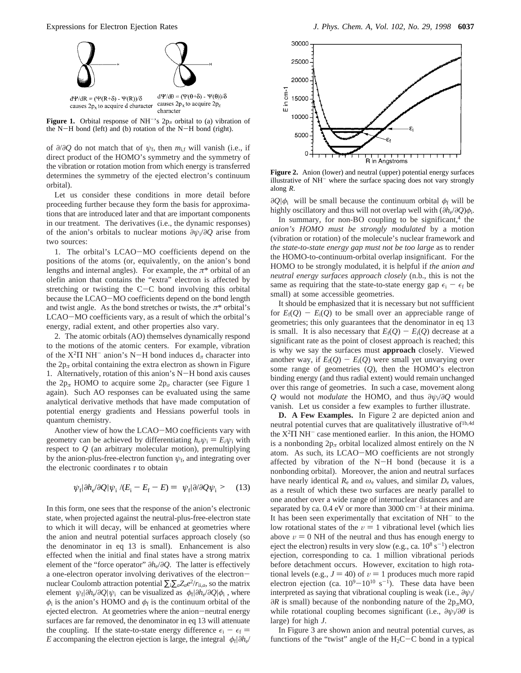

**Figure 1.** Orbital response of NH<sup>-</sup>'s  $2p_\pi$  orbital to (a) vibration of the  $N-H$  bond (left) and (b) rotation of the  $N-H$  bond (right).

of  $\partial/\partial Q$  do not match that of  $\psi_f$ , then  $m_{i,f}$  will vanish (i.e., if direct product of the HOMO's symmetry and the symmetry of the vibration or rotation motion from which energy is transferred determines the symmetry of the ejected electron's continuum orbital).

Let us consider these conditions in more detail before proceeding further because they form the basis for approximations that are introduced later and that are important components in our treatment. The derivatives (i.e., the dynamic responses) of the anion's orbitals to nuclear motions *∂ψ*i/*∂Q* arise from two sources:

1. The orbital's LCAO-MO coefficients depend on the positions of the atoms (or, equivalently, on the anion's bond lengths and internal angles). For example, the *π*\* orbital of an olefin anion that contains the "extra" electron is affected by stretching or twisting the  $C-C$  bond involving this orbital because the LCAO-MO coefficients depend on the bond length and twist angle. As the bond stretches or twists, the *π*\* orbital's LCAO-MO coefficients vary, as a result of which the orbital's energy, radial extent, and other properties also vary.

2. The atomic orbitals (AO) themselves dynamically respond to the motions of the atomic centers. For example, vibration of the X2<sup>Π</sup> NH- anion's N-H bond induces d*<sup>π</sup>* character into the  $2p_{\pi}$  orbital containing the extra electron as shown in Figure 1. Alternatively, rotation of this anion's N-H bond axis causes the  $2p_\pi$  HOMO to acquire some  $2p_\sigma$  character (see Figure 1) again). Such AO responses can be evaluated using the same analytical derivative methods that have made computation of potential energy gradients and Hessians powerful tools in quantum chemistry.

Another view of how the LCAO-MO coefficients vary with geometry can be achieved by differentiating  $h_e\psi_i = E_i\psi_i$  with respect to *Q* (an arbitrary molecular motion), premultiplying by the anion-plus-free-electron function  $\psi_f$ , and integrating over the electronic coordinates r to obtain

$$
\langle \psi_{\rm f} | \partial h_{\rm e} / \partial Q | \psi_{\rm i} \rangle / (E_{\rm i} - E_{\rm f} - E) = \langle \psi_{\rm f} | \partial / \partial Q \psi_{\rm i} \rangle \tag{13}
$$

In this form, one sees that the response of the anion's electronic state, when projected against the neutral-plus-free-electron state to which it will decay, will be enhanced at geometries where the anion and neutral potential surfaces approach closely (so the denominator in eq 13 is small). Enhancement is also effected when the initial and final states have a strong matrix element of the "force operator" *∂h*e/*∂Q*. The latter is effectively a one-electron operator involving derivatives of the electronnuclear Coulomb attraction potential  $\sum_{i} \sum_{a} Z_{a} e^{2} / r_{ii,a}$ , so the matrix element  $\langle \psi_f | \partial h_e / \partial Q | \psi_i \rangle$  can be visualized as  $\langle \phi_f | \partial h_e / \partial Q | \phi_i \rangle$ , where  $\phi_i$  is the anion's HOMO and  $\phi_f$  is the continuum orbital of the ejected electron. At geometries where the anion-neutral energy surfaces are far removed, the denominator in eq 13 will attenuate the coupling. If the state-to-state energy difference  $\epsilon_i - \epsilon_f =$ *E* accompaning the electron ejection is large, the integral  $\langle \phi_f | \partial h_e \rangle$ 



**Figure 2.** Anion (lower) and neutral (upper) potential energy surfaces illustrative of NH- where the surface spacing does not vary strongly along *R*.

*∂Q*| $\phi$ <sub>*i*</sub> $\rho$  will be small because the continuum orbital  $\phi$ <sup>f</sup> will be highly oscillatory and thus will not overlap well with (*∂h*e/*∂Q*)*φ*i.

In summary, for non-BO coupling to be significant, $4$  the *anion's HOMO must be strongly modulated* by a motion (vibration or rotation) of the molecule's nuclear framework and *the state-to-state energy gap must not be too large* as to render the HOMO-to-continuum-orbital overlap insignificant. For the HOMO to be strongly modulated, it is helpful if *the anion and neutral energy surfaces approach closely* (n.b., this is not the same as requiring that the state-to-state energy gap  $\epsilon_i - \epsilon_f$  be small) at some accessible geometries.

It should be emphasized that it is necessary but not suffficient for  $E_f(Q) - E_i(Q)$  to be small over an appreciable range of geometries; this only guarantees that the denominator in eq 13 is small. It is also necessary that  $E_f(Q) - E_i(Q)$  decrease at a significant rate as the point of closest approach is reached; this is why we say the surfaces must **approach** closely. Viewed another way, if  $E_f(Q) - E_i(Q)$  were small yet unvarying over some range of geometries (*Q*), then the HOMO's electron binding energy (and thus radial extent) would remain unchanged over this range of geometries. In such a case, movement along *Q* would not *modulate* the HOMO, and thus *∂ψ*i/*∂Q* would vanish. Let us consider a few examples to further illustrate.

**D. A Few Examples.** In Figure 2 are depicted anion and neutral potential curves that are qualitatively illustrative of<sup>1b,4d</sup> the  $X^2\Pi$  NH<sup>-</sup> case mentioned earlier. In this anion, the HOMO is a nonbonding  $2p_{\pi}$  orbital localized almost entirely on the N atom. As such, its LCAO-MO coefficients are not strongly affected by vibration of the N-H bond (because it is a nonbonding orbital). Moreover, the anion and neutral surfaces have nearly identical *R*<sup>e</sup> and *ω*<sup>e</sup> values, and similar *D*<sup>e</sup> values, as a result of which these two surfaces are nearly parallel to one another over a wide range of internuclear distances and are separated by ca.  $0.4$  eV or more than 3000 cm<sup>-1</sup> at their minima. It has been seen experimentally that excitation of NH- to the low rotational states of the  $v = 1$  vibrational level (which lies above  $v = 0$  NH of the neutral and thus has enough energy to eject the electron) results in very slow (e.g., ca.  $10^8$  s<sup>-1</sup>) electron ejection, corresponding to ca. 1 million vibrational periods before detachment occurs. However, excitation to high rotational levels (e.g.,  $J = 40$ ) of  $v = 1$  produces much more rapid electron ejection (ca.  $10^9 - 10^{10}$  s<sup>-1</sup>). These data have been interpreted as saying that vibrational coupling is weak (i.e., *∂ψ*i/ *∂R* is small) because of the nonbonding nature of the 2p*π*MO, while rotational coupling becomes significant (i.e., *∂ψ*i/*∂θ* is large) for high *J*.

In Figure 3 are shown anion and neutral potential curves, as functions of the "twist" angle of the  $H_2C-C$  bond in a typical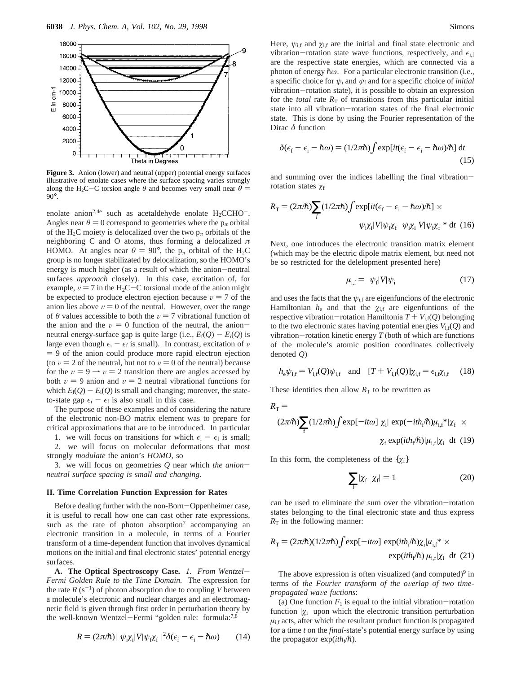

**Figure 3.** Anion (lower) and neutral (upper) potential energy surfaces illustrative of enolate cases where the surface spacing varies strongly along the H<sub>2</sub>C-C torsion angle  $\theta$  and becomes very small near  $\theta$  = 90°.

enolate anion<sup>2,4e</sup> such as acetaldehyde enolate  $H_2CCHO^-$ . Angles near  $\theta = 0$  correspond to geometries where the  $p_{\pi}$  orbital of the H<sub>2</sub>C moiety is delocalized over the two  $p_\pi$  orbitals of the neighboring C and O atoms, thus forming a delocalized *π* HOMO. At angles near  $\theta = 90^{\circ}$ , the p<sub>*π*</sub> orbital of the H<sub>2</sub>C group is no longer stabilizated by delocalization, so the HOMO's energy is much higher (as a result of which the anion-neutral surfaces *approach* closely). In this case, excitation of, for example,  $v = 7$  in the H<sub>2</sub>C-C torsional mode of the anion might be expected to produce electron ejection because  $v = 7$  of the anion lies above  $v = 0$  of the neutral. However, over the range of  $\theta$  values accessible to both the  $\nu = 7$  vibrational function of the anion and the  $v = 0$  function of the neutral, the anionneutral energy-surface gap is quite large (i.e.,  $E_f(Q) - E_i(Q)$ ) is large even though  $\epsilon_i - \epsilon_f$  is small). In contrast, excitation of v  $= 9$  of the anion could produce more rapid electron ejection (to  $v = 2$  of the neutral, but not to  $v = 0$  of the neutral) because for the  $v = 9 \rightarrow v = 2$  transition there are angles accessed by both  $v = 9$  anion and  $v = 2$  neutral vibrational functions for which  $E_f(Q) - E_i(Q)$  is small and changing; moreover, the stateto-state gap  $\epsilon_i - \epsilon_f$  is also small in this case.

The purpose of these examples and of considering the nature of the electronic non-BO matrix element was to prepare for critical approximations that are to be introduced. In particular

1. we will focus on transitions for which  $\epsilon_i - \epsilon_f$  is small; 2. we will focus on molecular deformations that most strongly *modulate* the anion's *HOMO*, so

3. we will focus on geometries *<sup>Q</sup>* near which *the anionneutral surface spacing is small and changing*.

#### **II. Time Correlation Function Expression for Rates**

Before dealing further with the non-Born-Oppenheimer case, it is useful to recall how one can cast other rate expressions, such as the rate of photon absorption<sup>7</sup> accompanying an electronic transition in a molecule, in terms of a Fourier transform of a time-dependent function that involves dynamical motions on the initial and final electronic states' potential energy surfaces.

**A. The Optical Spectroscopy Case.** *1. From Wentzel*-*Fermi Golden Rule to the Time Domain.* The expression for the rate  $R(s^{-1})$  of photon absorption due to coupling V between a molecule's electronic and nuclear charges and an electromagnetic field is given through first order in perturbation theory by the well-known Wentzel-Fermi "golden rule: formula:7,8

$$
R = (2\pi/\hbar)|\langle\psi_i\chi_i|V|\psi_i\chi_i\rangle|^2\delta(\epsilon_f - \epsilon_i - \hbar\omega)
$$
 (14)

Here,  $\psi_{i,f}$  and  $\chi_{i,f}$  are the initial and final state electronic and vibration-rotation state wave functions, respectively, and  $\epsilon_{\text{if}}$ are the respective state energies, which are connected via a photon of energy  $\hbar \omega$ . For a particular electronic transition (i.e., a specific choice for  $\psi_i$  and  $\psi_f$  and for a specific choice of *initial* vibration-rotation state), it is possible to obtain an expression for the *total* rate  $R_T$  of transitions from this particular initial state into all vibration-rotation states of the final electronic state. This is done by using the Fourier representation of the Dirac *δ* function

$$
\delta(\epsilon_{\rm f} - \epsilon_{\rm i} - \hbar \omega) = (1/2\pi\hbar) \int \exp[i t(\epsilon_{\rm f} - \epsilon_{\rm i} - \hbar \omega)/\hbar] dt
$$
\n(15)

and summing over the indices labelling the final vibrationrotation states *ø*<sup>f</sup>

$$
R_{\rm T} = (2\pi/\hbar) \sum_{f} (1/2\pi\hbar) \int \exp[i t(\epsilon_{\rm f} - \epsilon_{\rm i} - \hbar\omega)/\hbar] \times
$$

$$
\langle \psi \chi_{\rm i} | V | \psi_{\rm i} \chi_{\rm f} \rangle \langle \psi \chi_{\rm i} | V | \psi_{\rm i} \chi_{\rm f} \rangle^* \, \mathrm{d}t \tag{16}
$$

Next, one introduces the electronic transition matrix element (which may be the electric dipole matrix element, but need not be so restricted for the delelopment presented here)

$$
\mu_{i,f} = \langle \psi_f | V | \psi_i \rangle \tag{17}
$$

and uses the facts that the  $\psi_{i,f}$  are eigenfuncions of the electronic Hamiltonian  $h_e$  and that the  $\chi_{i,f}$  are eigenfuntions of the respective vibration-rotation Hamiltonia  $T + V_{i,f}(Q)$  belonging to the two electronic states having potential energies  $V_{i,f}(Q)$  and vibration-rotation kinetic energy  $T$  (both of which are functions of the molecule's atomic position coordinates collectively denoted *Q*)

$$
h_{\rm e}\psi_{\rm i,f} = V_{\rm i,f}(Q)\psi_{\rm i,f} \quad \text{and} \quad [T + V_{\rm i,f}(Q)]\chi_{\rm i,f} = \epsilon_{\rm i,f}\chi_{\rm i,f} \tag{18}
$$

These identities then allow  $R<sub>T</sub>$  to be rewritten as

$$
R_{\rm T} =
$$

$$
(2\pi/\hbar)\sum_{f}(1/2\pi\hbar)\int \exp[-it\omega]\langle\chi_{i}|\exp(-ith_{i}/\hbar)\mu_{i,f}^{*}|\chi_{f}\rangle \times
$$

$$
\langle\chi_{f}\exp(ith_{f}\hbar)|\mu_{i,f}|\chi_{i}\rangle dt \quad (19)
$$

In this form, the completeness of the  $\{\chi_f\}$ 

$$
\sum_{f} |\chi_{f}\rangle\langle\chi_{f}| = 1 \tag{20}
$$

can be used to eliminate the sum over the vibration-rotation states belonging to the final electronic state and thus express  $R<sub>T</sub>$  in the following manner:

$$
R_{\rm T} = (2\pi/\hbar)(1/2\pi\hbar) \int \exp[-it\omega] \langle \exp(ith_{i}/\hbar)\chi_{i}|\mu_{i,f}^{*} \times
$$
  
 
$$
\exp(ith_{f}\hbar)\mu_{i,f}|\chi_{i}\rangle dt \quad (21)
$$

The above expression is often visualized (and computed) $9$  in terms of the Fourier transform of the overlap of two time*propagated wa*V*e fuctions*:

(a) One function  $F_1$  is equal to the initial vibration-rotation function  $|\chi_i\rangle$  upon which the electronic transition perturbation  $\mu$ <sub>i,f</sub> acts, after which the resultant product function is propagated for a time *t* on the *final*-state's potential energy surface by using the propagator  $exp(ith_f/\hbar)$ .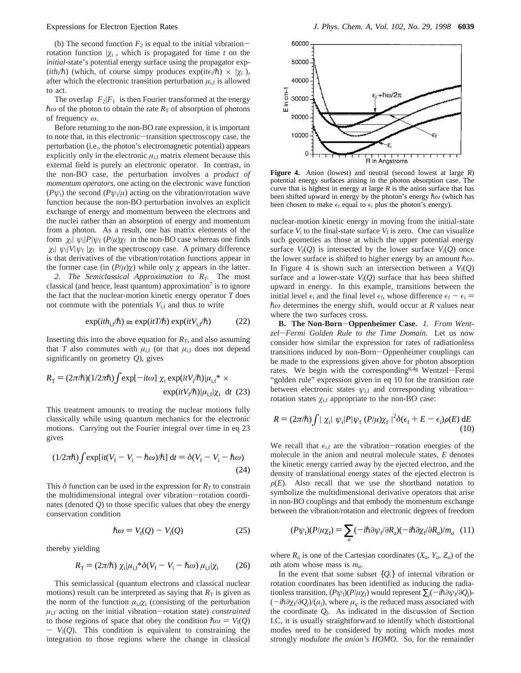(b) The second function  $F_2$  is equal to the initial vibrationrotation function  $|\chi_i\rangle$ , which is propagated for time *t* on the *initial*-state's potential energy surface using the propagator exp- (*ith*<sub>i</sub>/h) (which, of course simpy produces  $exp(it\epsilon_i/\hbar) \times |\chi_i\rangle$ ), after which the electronic transition perturbation  $\mu_{i,f}$  is allowed to act.

The overlap  $\langle F_2|F_1\rangle$  is then Fourier transformed at the energy  $\hbar\omega$  of the photon to obtain the rate  $R<sub>T</sub>$  of absorption of photons of frequency *ω*.

Before returning to the non-BO rate expression, it is important to note that, in this electronic-transition spectroscopy case, the perturbation (i.e., the photon's electromagnetic potential) appears explicitly only in the electronic  $\mu_{\text{if}}$  matrix element because this external field is purely an electronic operator. In contrast, in the non-BO case, the perturbation involves a *product of momentum operators*, one acting on the electronic wave function  $(P\psi_i)$  the second  $(P\psi_i/\mu)$  acting on the vibration/rotation wave function because the non-BO perturbation involves an explicit exchange of energy and momentum between the electrons and the nuclei rather than an absorption of energy and momentum from a photon. As a result, one has matrix elements of the form  $\langle \gamma_i | \langle \psi_i | P | \psi_f \rangle (P/\mu) \gamma_f \rangle$  in the non-BO case whereas one finds  $\langle \chi_i | \langle \psi_i | V | \psi_f \rangle | \chi_f \rangle$  in the spectroscopy case. A primary difference is that derivatives of the vibration/rotation functions appear in the former case (in  $(P/\mu)\chi$ ) while only  $\chi$  appears in the latter.

*2. The Semiclassical Approximation to RT.* The most classical (and hence, least quantum) approximation<sup>7</sup> is to ignore the fact that the nuclear-motion kinetic energy operator *T* does not commute with the potentials  $V_{i,f}$  and thus to write

$$
\exp(ith_{i,f}/\hbar) \simeq \exp(itT/\hbar) \exp(itV_{i,f}/\hbar) \tag{22}
$$

Inserting this into the above equation for  $R<sub>T</sub>$ , and also assuming that *T* also commutes with  $\mu_{i,f}$  (or that  $\mu_{i,f}$  does not depend significantly on geometry *Q*), gives

$$
R_{\rm T} = (2\pi/\hbar)(1/2\pi\hbar)\int \exp[-it\omega]\langle \chi_{\rm i}\exp(itV_{\rm i}/\hbar)|\mu_{\rm i,f}*\times
$$

$$
\exp(itV_{\rm f}/\hbar)|\mu_{\rm i,f}|\chi_{\rm i}\rangle\,\mathrm{d}t\tag{23}
$$

This treatment amounts to treating the nuclear motions fully classically while using quantum mechanics for the electronic motions. Carrying out the Fourier integral over time in eq 23 gives

$$
(1/2\pi\hbar)\int \exp\left(it(V_{\rm f}-V_{\rm i}-\hbar\omega)/\hbar\right]dt=\delta(V_{\rm f}-V_{\rm i}-\hbar\omega)
$$
\n(24)

This  $\delta$  function can be used in the expression for  $R<sub>T</sub>$  to constrain the multidimensional integral over vibration-rotation coordinates (denoted *Q*) to those specific values that obey the energy conservation condition

$$
\hbar \omega = V_{\text{f}}(Q) - V_{\text{i}}(Q) \tag{25}
$$

thereby yielding

$$
R_{\rm T} = (2\pi/\hbar)\langle \chi_{\rm i}|\mu_{\rm i,f}*\delta(V_{\rm f} - V_{\rm i} - \hbar\omega)\,\mu_{\rm i,f}|\chi_{\rm i}\rangle\qquad(26)
$$

This semiclassical (quantum electrons and classical nuclear motions) result can be interpreted as saying that  $R<sub>T</sub>$  is given as the norm of the function  $\mu_{i,f\chi_i}$  (consisting of the perturbation  $\mu_{i,f}$  acting on the initial vibration-rotation state) *constrained* to those regions of space that obey the condition  $\hbar \omega = V_f(Q)$  $-V_i(Q)$ . This condition is equivalent to constraining the integration to those regions where the change in classical



**Figure 4.** Anion (lowest) and neutral (second lowest at large *R*) potential energy surfaces arising in the photon absorption case. The curve that is highest in energy at large  $R$  is the anion surface that has been shifted upward in energy by the photon's energy  $\hbar\omega$  (which has been chosen to make  $\epsilon_f$  equal to  $\epsilon_i$  plus the photon's energy).

nuclear-motion kinetic energy in moving from the initial-state surface  $V_i$  to the final-state surface  $V_f$  is zero. One can visualize such geometies as those at which the upper potential energy surface  $V_f(Q)$  is intersected by the lower surface  $V_i(Q)$  once the lower surface is shifted to higher energy by an amount  $\hbar\omega$ . In Figure 4 is shown such an intersection between a  $V_f(Q)$ surface and a lower-state  $V_i(Q)$  surface that has been shifted upward in energy. In this example, transitions between the initial level  $\epsilon_i$  and the final level  $\epsilon_f$ , whose difference  $\epsilon_f - \epsilon_i =$  $\hbar\omega$  determines the energy shift, would occur at *R* values near where the two surfaces cross.

**B. The Non-Born**-**Oppenheimer Case.** *1. From Wentzel*-*Fermi Golden Rule to the Time Domain.* Let us now consider how similar the expression for rates of radiationless transitions induced by non-Born-Oppenheimer couplings can be made to the expressions given above for photon absorption rates. We begin with the corresponding<sup>6,4g</sup> Wentzel-Fermi "golden rule" expression given in eq 10 for the transition rate between electronic states  $\psi_{i,f}$  and corresponding vibrationrotation states  $\chi_{i,f}$  appropriate to the non-BO case:

$$
R = (2\pi/\hbar) \int |\langle \chi_{\rm i} | \langle \psi_{\rm i} | P | \psi_{\rm f} \rangle (P/\mu) \chi_{\rm f} \rangle|^2 \delta(\epsilon_{\rm f} + E - \epsilon_{\rm i}) \rho(E) \, \mathrm{d}E \tag{10}
$$

We recall that  $\epsilon_{\text{if}}$  are the vibration-rotation energies of the molecule in the anion and neutral molecule states, *E* denotes the kinetic energy carried away by the ejected electron, and the density of translational energy states of the ejected electron is  $\rho(E)$ . Also recall that we use the shorthand notation to symbolize the multidimensional derivative operators that arise in non-BO couplings and that embody the momentum exchange between the vibration/rotation and electronic degrees of freedom

$$
(P\psi_f)(P/\mu\chi_f) = \sum_a (-i\hbar \partial \psi_f / \partial R_a)(-i\hbar \partial \chi_f / \partial R_a) / m_a \quad (11)
$$

where  $R_a$  is one of the Cartesian coordinates  $(X_a, Y_a, Z_a)$  of the *a*th atom whose mass is *ma*.

In the event that some subset  ${Q_i}$  of internal vibration or rotation coordinates has been identified as inducing the radiationless transition,  $(P\psi_f)(P/\psi_f)$  would represent  $\sum_j(-i\hbar\partial\psi_f/\partial Q_j)$ -(-*i*p*∂ø*f/*∂Qj*)/(*µj*), where *µæ* is the reduced mass associated with the coordinate *Qj*. As indicated in the discussion of Section I.C, it is usually straightforward to identify which distortional modes need to be considered by noting which modes most strongly *modulate the anion's HOMO*. So, for the remainder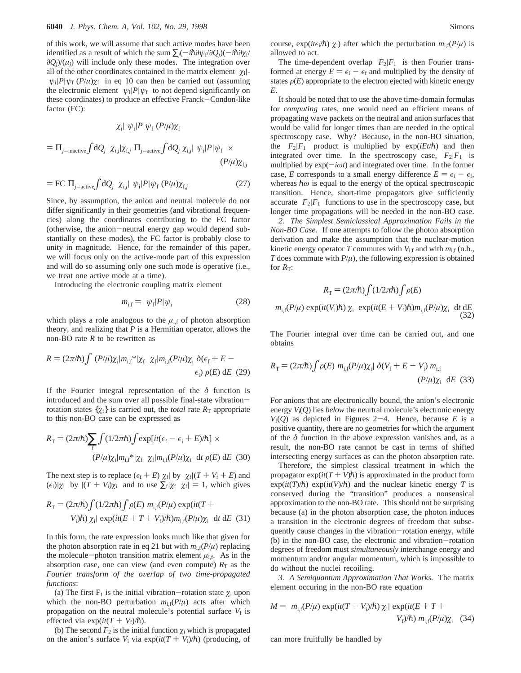of this work, we will assume that such active modes have been identified as a result of which the sum  $\sum_j(-i\hbar\partial\psi_j/\partial Q_j)(-i\hbar\partial\chi_j/\partial\psi_j)$  $\partial Q_i$ / $(\mu_i)$  will include only these modes. The integration over all of the other coordinates contained in the matrix element  $\langle \gamma_i |$ - $\langle \psi_i|P|\psi_f\rangle\langle P/\mu\rangle\chi_f\rangle$  in eq 10 can then be carried out (assuming the electronic element  $\langle \psi_i | P | \psi_f \rangle$  to not depend significantly on these coordinates) to produce an effective Franck-Condon-like factor (FC):

$$
\langle \chi_{i} | \langle \psi_{i} | P | \psi_{f} \rangle (P/\mu) \chi_{f} \rangle
$$
  
=  $\Pi_{j=\text{inactive}} \int dQ_{j} \langle \chi_{i,j} | \chi_{f,j} \rangle \Pi_{j=\text{active}} \int dQ_{j} \langle \chi_{i,j} | \langle \psi_{i} | P | \psi_{f} \rangle \times$   
 $(P/\mu) \chi_{f,j} \rangle$ 

$$
= \text{FC} \ \Pi_{j=\text{active}} \int dQ_j \, \langle \chi_{i,j} | \langle \psi_i | P | \psi_i \rangle \langle P | \mu \rangle \chi_{f,j} \rangle \tag{27}
$$

Since, by assumption, the anion and neutral molecule do not differ significantly in their geometries (and vibrational frequencies) along the coordinates contributing to the FC factor (otherwise, the anion-neutral energy gap would depend substantially on these modes), the FC factor is probably close to unity in magnitude. Hence, for the remainder of this paper, we will focus only on the active-mode part of this expression and will do so assuming only one such mode is operative (i.e., we treat one active mode at a time).

Introducing the electronic coupling matrix element

$$
m_{i,f} = \langle \psi_f | P | \psi_i \rangle \tag{28}
$$

which plays a role analogous to the  $\mu$ <sub>if</sub> of photon absorption theory, and realizing that *P* is a Hermitian operator, allows the non-BO rate *R* to be rewritten as

$$
R = (2\pi/\hbar) \int \langle (P/\mu) \chi_i | m_{i,f}^* | \chi_f \rangle \langle \chi_f | m_{i,f}(P/\mu) \chi_i \rangle \delta(\epsilon_f + E - \epsilon_i) \rho(E) dE \tag{29}
$$

If the Fourier integral representation of the  $\delta$  function is introduced and the sum over all possible final-state vibrationrotation states  $\{\chi_f\}$  is carried out, the *total* rate  $R_T$  appropriate to this non-BO case can be expressed as

$$
R_{\rm T} = (2\pi/\hbar) \sum_{\rm f} \int (1/2\pi\hbar) \int \exp[i t(\epsilon_{\rm f} - \epsilon_{\rm i} + E)/\hbar] \times
$$

$$
\langle (P/\mu) \chi_{\rm i} | m_{\rm i, \rm f}^* | \chi_{\rm f} \rangle \langle \chi_{\rm f} | m_{\rm i, \rm f} (P/\mu) \chi_{\rm i} \rangle \, \mathrm{d}t \, \rho(E) \, \mathrm{d}E \, (30)
$$

The next step is to replace  $(\epsilon_f + E) \langle \chi_f |$  by  $\langle \chi_f | (T + V_f + E)$  and  $(\epsilon_i)|\chi_i\rangle$  by  $|(T + V_i)\chi_i\rangle$  and to use  $\sum_f |\chi_f\rangle\langle\chi_f| = 1$ , which gives

$$
R_{\rm T} = (2\pi/\hbar) \int (1/2\pi\hbar) \int \rho(E) \langle m_{\rm i,f}(P/\mu) \exp(it(T + V_{\rm i})\hbar) \chi_{\rm i} |\exp(it(E + T + V_{\rm f})/\hbar) m_{\rm i,f}(P/\mu) \chi_{\rm i} \rangle \, \mathrm{d}t \, \mathrm{d}E \tag{31}
$$

In this form, the rate expression looks much like that given for the photon absorption rate in eq 21 but with  $m_{i,f}(P/\mu)$  replacing the molecule-photon transition matrix element  $\mu_{i,f}$ . As in the absorption case, one can view (and even compute)  $R<sub>T</sub>$  as the *Fourier transform of the o*V*erlap of two time-propagated functions*:

(a) The first  $F_1$  is the initial vibration-rotation state  $\chi_i$  upon which the non-BO perturbation  $m_{i,f}(P/\mu)$  acts after which propagation on the neutral molecule's potential surface  $V_f$  is effected via  $exp(it(T + V_f)/\hbar)$ .

(b) The second  $F_2$  is the initial function  $\chi_i$  which is propagated on the anion's surface  $V_i$  via  $exp(it(T + V_i)/\hbar)$  (producing, of course,  $\exp(it\epsilon_i/\hbar)$   $\chi_i$ ) after which the perturbation  $m_{i,f}(P/\mu)$  is allowed to act.

The time-dependent overlap  $\langle F_2|F_1\rangle$  is then Fourier transformed at energy  $E = \epsilon_i - \epsilon_f$  and multiplied by the density of states  $\rho(E)$  appropriate to the electron ejected with kinetic energy *E*.

It should be noted that to use the above time-domain formulas for *computing* rates, one would need an efficient means of propagating wave packets on the neutral and anion surfaces that would be valid for longer times than are needed in the optical spectroscopy case. Why? Because, in the non-BO situation, the  $\langle F_2|F_1\rangle$  product is multiplied by  $exp(iEt/\hbar)$  and then integrated over time. In the spectroscopy case,  $\langle F_2|F_1\rangle$  is multiplied by  $exp(-i\omega t)$  and integrated over time. In the former case, *E* corresponds to a small energy difference  $E = \epsilon_i - \epsilon_f$ , whereas  $\hbar \omega$  is equal to the energy of the optical spectroscopic transition. Hence, short-time propagators give sufficiently accurate  $\langle F_2|F_1\rangle$  functions to use in the spectroscopy case, but longer time propagations will be needed in the non-BO case.

*2. The Simplest Semiclassical Approximation Fails in the Non-BO Case.* If one attempts to follow the photon absorption derivation and make the assumption that the nuclear-motion kinetic energy operator *T* commutes with  $V_{\text{if}}$  and with  $m_{\text{if}}$  (n.b., *T* does commute with  $P/\mu$ , the following expression is obtained for  $R_T$ :

$$
R_{\rm T} = (2\pi/\hbar) \int (1/2\pi\hbar) \int \rho(E)
$$

$$
\langle m_{\rm i,f}(P/\mu) \exp(it(V_{\rm i})\hbar) \chi_{\rm i} \vert \exp(it(E + V_{\rm f})\hbar) m_{\rm i,f}(P/\mu) \chi_{\rm i} \rangle \, \mathrm{d}t \, \mathrm{d}E
$$
(32)

The Fourier integral over time can be carried out, and one obtains

$$
R_{\rm T} = (2\pi/\hbar) \int \rho(E) \langle m_{\rm i,f}(P/\mu) \chi_{\rm i} | \delta(V_{\rm f} + E - V_{\rm i}) m_{\rm i,f}
$$
  

$$
(P/\mu) \chi_{\rm i} \rangle \, dE \tag{33}
$$

For anions that are electronically bound, the anion's electronic energy *V*i(*Q*) lies *below* the neurtral molecule's electronic energy  $V_f(Q)$  as depicted in Figures 2-4. Hence, because *E* is a positive quantity, there are no geometries for which the argument of the *δ* function in the above expression vanishes and, as a result, the non-BO rate cannot be cast in terms of shifted intersecting energy surfaces as can the photon absorption rate.

Therefore, the simplest classical treatment in which the propagator  $exp(it(T + V)\hbar)$  is approximated in the product form  $\exp(it(T)/\hbar)$  exp(*it*(*V*)/ $\hbar$ ) and the nuclear kinetic energy *T* is conserved during the "transition" produces a nonsensical approximation to the non-BO rate. This should not be surprising because (a) in the photon absorption case, the photon induces a transition in the electronic degrees of freedom that subsequently cause changes in the vibration-rotation energy, while (b) in the non-BO case, the electronic and vibration-rotation degrees of freedom must *simultaneously* interchange energy and momentum and/or angular momentum, which is impossible to do without the nuclei recoiling.

*3. A Semiquantum Approximation That Works.* The matrix element occuring in the non-BO rate equation

$$
M = \langle m_{i,f}(P/\mu) \exp(it(T + V_i)/\hbar) \chi_i | \exp(it(E + T + V_f)/\hbar) m_{i,f}(P/\mu)\chi_i \rangle
$$
 (34)

can more fruitfully be handled by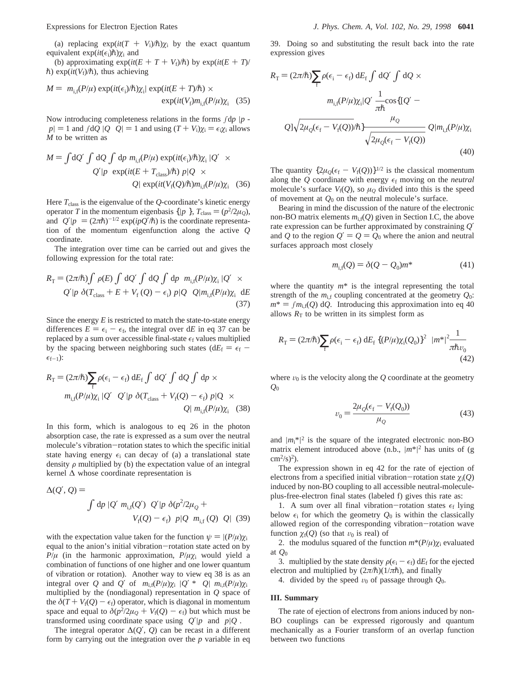(a) replacing  $exp(it(T + V_i)/\hbar) \chi_i$  by the exact quantum equivalent  $exp(it(\epsilon_i)\hbar)\chi_i$  and

(b) approximating  $exp(it(E + T + V_f)/\hbar)$  by  $exp(it(E + T)/\hbar)$  $\hbar$ ) exp(*it*( $V_f$ )/ $\hbar$ ), thus achieving

$$
M = \langle m_{i,f}(P/\mu) \exp(it(\epsilon_i)/\hbar)\chi_i | \exp(it(E+T)/\hbar) \times
$$
  
 
$$
\exp(it(V_f)m_{i,f}(P/\mu)\chi_i) \quad (35)
$$

Now introducing completeness relations in the forms ∫d*p* |*p*〉-  $\langle p| = 1$  and  $\int dQ |Q \rangle \langle Q| = 1$  and using  $(T + V_i) \chi_i = \epsilon_i \chi_i$  allows *M* to be written as

$$
M = \int dQ' \int dQ \int dp \langle m_{i,f}(P/\mu) \exp(it(\epsilon_i)/\hbar) \chi_i | Q' \rangle \times
$$
  

$$
\langle Q'|p \rangle \exp(it(E + T_{\text{class}})/\hbar) \langle p|Q \rangle \times
$$
  

$$
\langle Q| \exp(it(V_f(Q)/\hbar) m_{i,f}(P/\mu) \chi_i \rangle \quad (36)
$$

Here *T*class is the eigenvalue of the *Q*-coordinate's kinetic energy operator *T* in the momentum eigenbasis  $\{|p\rangle\}$ ,  $T_{\text{class}} = (p^2/2\mu_Q)$ , and  $\langle Q'|p\rangle = (2\pi\hbar)^{-1/2} \exp(ipQ'/\hbar)$  is the coordinate representation of the momentum eigenfunction along the active *Q* coordinate.

The integration over time can be carried out and gives the following expression for the total rate:

$$
R_{\rm T} = (2\pi/\hbar) \int \rho(E) \int \mathrm{d}Q' \int \mathrm{d}Q \int \mathrm{d}p \, \langle m_{\rm i,f}(P/\mu) \chi_{\rm i} | Q' \rangle \times
$$
  

$$
\langle Q'|p \rangle \delta(T_{\rm class} + E + V_{\rm f}(Q) - \epsilon_{\rm i}) \langle p|Q \rangle \langle Q|m_{\rm i,f}(P/\mu) \chi_{\rm i} \rangle \mathrm{d}E
$$
  
(37)

Since the energy  $E$  is restricted to match the state-to-state energy differences  $E = \epsilon_i - \epsilon_f$ , the integral over d*E* in eq 37 can be replaced by a sum over accessible final-state  $\epsilon_f$  values multiplied by the spacing between neighboring such states ( $dE_f = \epsilon_f$  –  $\epsilon_{f-1}$ :

$$
R_{\rm T} = (2\pi/\hbar) \sum_{\rm f} \rho(\epsilon_{\rm i} - \epsilon_{\rm f}) \, dE_{\rm f} \int dQ' \int dQ \int d\rho \times
$$
  

$$
\langle m_{\rm i,\rm f}(P/\mu) \chi_{\rm i} |Q'\rangle \langle Q'|p\rangle \delta(T_{\rm class} + V_{\rm f}(Q) - \epsilon_{\rm f}) \langle p|Q\rangle \times
$$
  

$$
\langle Q| m_{\rm i,\rm f}(P/\mu) \chi_{\rm i} \rangle \quad (38)
$$

In this form, which is analogous to eq 26 in the photon absorption case, the rate is expressed as a sum over the neutral molecule's vibration-rotation states to which the specific initial state having energy  $\epsilon_i$  can decay of (a) a translational state density  $\rho$  multiplied by (b) the expectation value of an integral kernel  $\Delta$  whose coordinate representation is

$$
\Delta(Q', Q) =
$$
  

$$
\int dp |Q'\rangle m_{i,f}(Q') \langle Q'|p\rangle \delta(p^2/2\mu_Q + V_f(Q) - \epsilon_f) \langle p|Q\rangle m_{i,f}(Q) \langle Q| (39)
$$

with the expectation value taken for the function  $\psi = |(P/\mu)\chi_i\rangle$ equal to the anion's initial vibration-rotation state acted on by  $P/\mu$  (in the harmonic approximation,  $P/\mu\chi$ <sub>i</sub> would yield a combination of functions of one higher and one lower quantum of vibration or rotation). Another way to view eq 38 is as an integral over *Q* and *Q'* of  $\langle m_{i,f}(P/\mu) \chi_i | Q' \rangle^* \langle Q | m_{i,f}(P/\mu) \chi_i \rangle$ multiplied by the (nondiagonal) representation in *Q* space of the  $\delta(T + V_f(Q) - \epsilon_f)$  operator, which is diagonal in momentum space and equal to  $\delta(p^2/2\mu_Q + V_f(Q) - \epsilon_f)$  but which must be transformed using coordinate space using  $\langle Q'|p \rangle$  and  $\langle p|Q \rangle$ .

The integral operator ∆(*Q*′, *Q*) can be recast in a different form by carrying out the integration over the *p* variable in eq

39. Doing so and substituting the result back into the rate expression gives

$$
R_{\rm T} = (2\pi/\hbar) \sum_{\rm f} \rho(\epsilon_{\rm i} - \epsilon_{\rm f}) \, dE_{\rm f} \int dQ' \int dQ \times
$$

$$
\langle m_{\rm i,f}(P/\mu)\chi_{\rm i}|Q'\rangle \frac{1}{\pi\hbar} \cos\{[Q' - Q]\sqrt{2\mu_{Q}(\epsilon_{\rm f} - V_{\rm f}(Q))}/\hbar\} \frac{\mu_{Q}}{\sqrt{2\mu_{Q}(\epsilon_{\rm f} - V_{\rm f}(Q))}} \langle Q|m_{\rm i,f}(P/\mu)\chi_{\rm i}\rangle
$$
(40)

The quantity  $\{2\mu_Q(\epsilon_f - V_f(Q))\}^{1/2}$  is the classical momentum along the  $Q$  coordinate with energy  $\epsilon_f$  moving on the *neutral* molecule's surface  $V_f(Q)$ , so  $\mu_Q$  divided into this is the speed of movement at  $Q_0$  on the neutral molecule's surface.

Bearing in mind the discussion of the nature of the electronic non-BO matrix elements  $m_{i,f}(Q)$  given in Section I.C, the above rate expression can be further approximated by constraining *Q*′ and *Q* to the region  $Q' = Q = Q_0$  where the anion and neutral surfaces approach most closely

$$
m_{\text{i,f}}(Q) = \delta(Q - Q_0)m^* \tag{41}
$$

where the quantity  $m^*$  is the integral representing the total strength of the  $m_{\text{if}}$  coupling concentrated at the geometry  $Q_0$ :  $m^* = fm_{i,f}(Q) dQ$ . Introducing this approximation into eq 40 allows  $R<sub>T</sub>$  to be written in its simplest form as

$$
R_{\rm T} = (2\pi/\hbar) \sum_{\rm f} \rho(\epsilon_{\rm i} - \epsilon_{\rm f}) \, dE_{\rm f} \left\{ (P/\mu) \chi_{\rm i}(Q_0) \right\}^2 \rangle |m^*|^2 \frac{1}{\pi \hbar v_0}
$$
\n(42)

where  $v_0$  is the velocity along the  $Q$  coordinate at the geometry *Q*<sup>0</sup>

$$
v_0 = \frac{2\mu_Q(\epsilon_f - V_f(Q_0))}{\mu_Q} \tag{43}
$$

and  $|m_1^*|^2$  is the square of the integrated electronic non-BO matrix element introduced above (n.b.,  $|m^*|^2$  has units of (g)  $\rm cm^2/s)^2$ ).

The expression shown in eq 42 for the rate of ejection of electrons from a specified initial vibration-rotation state  $\chi_i(Q)$ induced by non-BO coupling to all accessible neutral-moleculeplus-free-electron final states (labeled f) gives this rate as:

1. A sum over all final vibration-rotation states  $\epsilon_f$  lying below  $\epsilon_i$  for which the geometry  $Q_0$  is within the classically allowed region of the corresponding vibration-rotation wave function  $\chi_f(Q)$  (so that  $\nu_0$  is real) of

2. the modulus squared of the function  $m^*(P/\mu)\chi_i$  evaluated at  $O<sub>0</sub>$ 

3. multiplied by the state density  $\rho(\epsilon_i - \epsilon_f) dE_f$  for the ejected electron and multiplied by  $(2\pi/\hbar)(1/\pi\hbar)$ , and finally

4. divided by the speed  $v_0$  of passage through  $Q_0$ .

### **III. Summary**

The rate of ejection of electrons from anions induced by non-BO couplings can be expressed rigorously and quantum mechanically as a Fourier transform of an overlap function between two functions